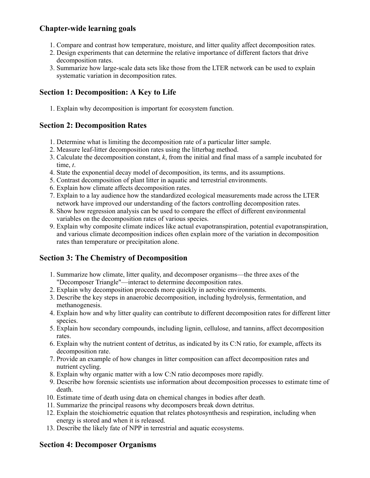### **Chapter-wide learning goals**

- 1. Compare and contrast how temperature, moisture, and litter quality affect decomposition rates.
- 2. Design experiments that can determine the relative importance of different factors that drive decomposition rates.
- 3. Summarize how large-scale data sets like those from the LTER network can be used to explain systematic variation in decomposition rates.

# **Section 1: Decomposition: A Key to Life**

1. Explain why decomposition is important for ecosystem function.

#### **Section 2: Decomposition Rates**

- 1. Determine what is limiting the decomposition rate of a particular litter sample.
- 2. Measure leaf-litter decomposition rates using the litterbag method.
- 3. Calculate the decomposition constant, *k*, from the initial and final mass of a sample incubated for time, *t*.
- 4. State the exponential decay model of decomposition, its terms, and its assumptions.
- 5. Contrast decomposition of plant litter in aquatic and terrestrial environments.
- 6. Explain how climate affects decomposition rates.
- 7. Explain to a lay audience how the standardized ecological measurements made across the LTER network have improved our understanding of the factors controlling decomposition rates.
- 8. Show how regression analysis can be used to compare the effect of different environmental variables on the decomposition rates of various species.
- 9. Explain why composite climate indices like actual evapotranspiration, potential evapotranspiration, and various climate decomposition indices often explain more of the variation in decomposition rates than temperature or precipitation alone.

## **Section 3: The Chemistry of Decomposition**

- 1. Summarize how climate, litter quality, and decomposer organisms—the three axes of the "Decomposer Triangle"—interact to determine decomposition rates.
- 2. Explain why decomposition proceeds more quickly in aerobic environments.
- 3. Describe the key steps in anaerobic decomposition, including hydrolysis, fermentation, and methanogenesis.
- 4. Explain how and why litter quality can contribute to different decomposition rates for different litter species.
- 5. Explain how secondary compounds, including lignin, cellulose, and tannins, affect decomposition rates.
- 6. Explain why the nutrient content of detritus, as indicated by its C:N ratio, for example, affects its decomposition rate.
- 7. Provide an example of how changes in litter composition can affect decomposition rates and nutrient cycling.
- 8. Explain why organic matter with a low C:N ratio decomposes more rapidly.
- 9. Describe how forensic scientists use information about decomposition processes to estimate time of death.
- 10. Estimate time of death using data on chemical changes in bodies after death.
- 11. Summarize the principal reasons why decomposers break down detritus.
- 12. Explain the stoichiometric equation that relates photosynthesis and respiration, including when energy is stored and when it is released.
- 13. Describe the likely fate of NPP in terrestrial and aquatic ecosystems.

## **Section 4: Decomposer Organisms**